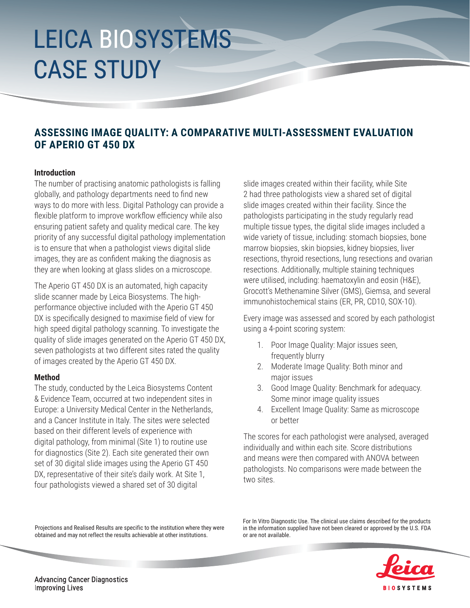# LEICA BIOSYSTEMS CASE STUDY

### **ASSESSING IMAGE QUALITY: A COMPARATIVE MULTI-ASSESSMENT EVALUATION OF APERIO GT 450 DX**

### **Introduction**

The number of practising anatomic pathologists is falling globally, and pathology departments need to find new ways to do more with less. Digital Pathology can provide a flexible platform to improve workflow efficiency while also ensuring patient safety and quality medical care. The key priority of any successful digital pathology implementation is to ensure that when a pathologist views digital slide images, they are as confident making the diagnosis as they are when looking at glass slides on a microscope.

The Aperio GT 450 DX is an automated, high capacity slide scanner made by Leica Biosystems. The highperformance objective included with the Aperio GT 450 DX is specifically designed to maximise field of view for high speed digital pathology scanning. To investigate the quality of slide images generated on the Aperio GT 450 DX, seven pathologists at two different sites rated the quality of images created by the Aperio GT 450 DX.

### **Method**

The study, conducted by the Leica Biosystems Content & Evidence Team, occurred at two independent sites in Europe: a University Medical Center in the Netherlands, and a Cancer Institute in Italy. The sites were selected based on their different levels of experience with digital pathology, from minimal (Site 1) to routine use for diagnostics (Site 2). Each site generated their own set of 30 digital slide images using the Aperio GT 450 DX, representative of their site's daily work. At Site 1, four pathologists viewed a shared set of 30 digital

slide images created within their facility, while Site 2 had three pathologists view a shared set of digital slide images created within their facility. Since the pathologists participating in the study regularly read multiple tissue types, the digital slide images included a wide variety of tissue, including: stomach biopsies, bone marrow biopsies, skin biopsies, kidney biopsies, liver resections, thyroid resections, lung resections and ovarian resections. Additionally, multiple staining techniques were utilised, including: haematoxylin and eosin (H&E), Grocott's Methenamine Silver (GMS), Giemsa, and several immunohistochemical stains (ER, PR, CD10, SOX-10).

Every image was assessed and scored by each pathologist using a 4-point scoring system:

- 1. Poor Image Quality: Major issues seen, frequently blurry
- 2. Moderate Image Quality: Both minor and major issues
- 3. Good Image Quality: Benchmark for adequacy. Some minor image quality issues
- 4. Excellent Image Quality: Same as microscope or better

The scores for each pathologist were analysed, averaged individually and within each site. Score distributions and means were then compared with ANOVA between pathologists. No comparisons were made between the two sites.

Projections and Realised Results are specific to the institution where they were obtained and may not reflect the results achievable at other institutions.

For In Vitro Diagnostic Use. The clinical use claims described for the products in the information supplied have not been cleared or approved by the U.S. FDA or are not available.



**Advancing Cancer Diagnostics Improving Lives**